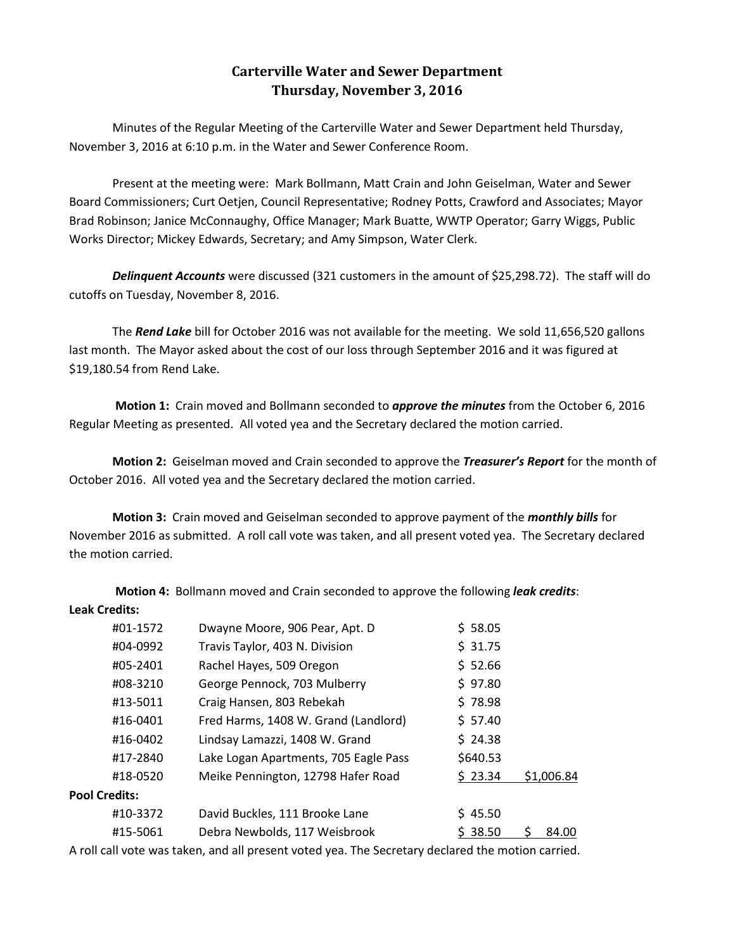## **Carterville Water and Sewer Department Thursday, November 3, 2016**

Minutes of the Regular Meeting of the Carterville Water and Sewer Department held Thursday, November 3, 2016 at 6:10 p.m. in the Water and Sewer Conference Room.

Present at the meeting were: Mark Bollmann, Matt Crain and John Geiselman, Water and Sewer Board Commissioners; Curt Oetjen, Council Representative; Rodney Potts, Crawford and Associates; Mayor Brad Robinson; Janice McConnaughy, Office Manager; Mark Buatte, WWTP Operator; Garry Wiggs, Public Works Director; Mickey Edwards, Secretary; and Amy Simpson, Water Clerk.

**Delinquent Accounts** were discussed (321 customers in the amount of \$25,298.72). The staff will do cutoffs on Tuesday, November 8, 2016.

The *Rend Lake* bill for October 2016 was not available for the meeting. We sold 11,656,520 gallons last month. The Mayor asked about the cost of our loss through September 2016 and it was figured at \$19,180.54 from Rend Lake.

**Motion 1:** Crain moved and Bollmann seconded to *approve the minutes* from the October 6, 2016 Regular Meeting as presented. All voted yea and the Secretary declared the motion carried.

**Motion 2:** Geiselman moved and Crain seconded to approve the *Treasurer's Report* for the month of October 2016. All voted yea and the Secretary declared the motion carried.

**Motion 3:** Crain moved and Geiselman seconded to approve payment of the *monthly bills* for November 2016 as submitted. A roll call vote was taken, and all present voted yea. The Secretary declared the motion carried.

**Motion 4:** Bollmann moved and Crain seconded to approve the following *leak credits*: **Leak Credits:**

|                      | #01-1572 | Dwayne Moore, 906 Pear, Apt. D        | \$58.05  |            |
|----------------------|----------|---------------------------------------|----------|------------|
|                      | #04-0992 | Travis Taylor, 403 N. Division        | \$31.75  |            |
|                      | #05-2401 | Rachel Hayes, 509 Oregon              | \$52.66  |            |
|                      | #08-3210 | George Pennock, 703 Mulberry          | \$97.80  |            |
|                      | #13-5011 | Craig Hansen, 803 Rebekah             | \$78.98  |            |
|                      | #16-0401 | Fred Harms, 1408 W. Grand (Landlord)  | \$57.40  |            |
|                      | #16-0402 | Lindsay Lamazzi, 1408 W. Grand        | \$24.38  |            |
|                      | #17-2840 | Lake Logan Apartments, 705 Eagle Pass | \$640.53 |            |
|                      | #18-0520 | Meike Pennington, 12798 Hafer Road    | \$23.34  | \$1,006.84 |
| <b>Pool Credits:</b> |          |                                       |          |            |
|                      | #10-3372 | David Buckles, 111 Brooke Lane        | \$45.50  |            |
|                      | #15-5061 | Debra Newbolds, 117 Weisbrook         | \$38.50  | 84.00      |

A roll call vote was taken, and all present voted yea. The Secretary declared the motion carried.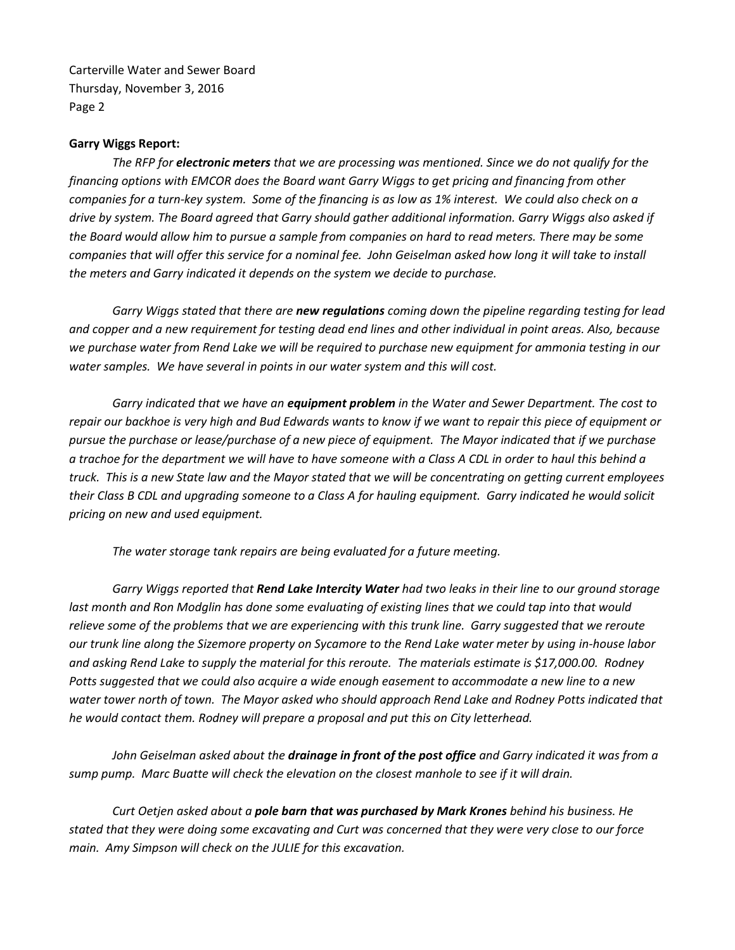## **Garry Wiggs Report:**

*The RFP for electronic meters that we are processing was mentioned. Since we do not qualify for the financing options with EMCOR does the Board want Garry Wiggs to get pricing and financing from other companies for a turn-key system. Some of the financing is as low as 1% interest. We could also check on a drive by system. The Board agreed that Garry should gather additional information. Garry Wiggs also asked if the Board would allow him to pursue a sample from companies on hard to read meters. There may be some*  companies that will offer this service for a nominal fee. John Geiselman asked how long it will take to install *the meters and Garry indicated it depends on the system we decide to purchase.*

*Garry Wiggs stated that there are new regulations coming down the pipeline regarding testing for lead and copper and a new requirement for testing dead end lines and other individual in point areas. Also, because we purchase water from Rend Lake we will be required to purchase new equipment for ammonia testing in our water samples. We have several in points in our water system and this will cost.* 

*Garry indicated that we have an equipment problem in the Water and Sewer Department. The cost to repair our backhoe is very high and Bud Edwards wants to know if we want to repair this piece of equipment or pursue the purchase or lease/purchase of a new piece of equipment. The Mayor indicated that if we purchase a trachoe for the department we will have to have someone with a Class A CDL in order to haul this behind a truck. This is a new State law and the Mayor stated that we will be concentrating on getting current employees their Class B CDL and upgrading someone to a Class A for hauling equipment. Garry indicated he would solicit pricing on new and used equipment.*

*The water storage tank repairs are being evaluated for a future meeting.*

*Garry Wiggs reported that Rend Lake Intercity Water had two leaks in their line to our ground storage*  last month and Ron Modglin has done some evaluating of existing lines that we could tap into that would *relieve some of the problems that we are experiencing with this trunk line. Garry suggested that we reroute our trunk line along the Sizemore property on Sycamore to the Rend Lake water meter by using in-house labor and asking Rend Lake to supply the material for this reroute. The materials estimate is \$17,000.00. Rodney Potts suggested that we could also acquire a wide enough easement to accommodate a new line to a new water tower north of town. The Mayor asked who should approach Rend Lake and Rodney Potts indicated that he would contact them. Rodney will prepare a proposal and put this on City letterhead.* 

*John Geiselman asked about the drainage in front of the post office and Garry indicated it was from a sump pump. Marc Buatte will check the elevation on the closest manhole to see if it will drain.*

*Curt Oetjen asked about a pole barn that was purchased by Mark Krones behind his business. He stated that they were doing some excavating and Curt was concerned that they were very close to our force main. Amy Simpson will check on the JULIE for this excavation.*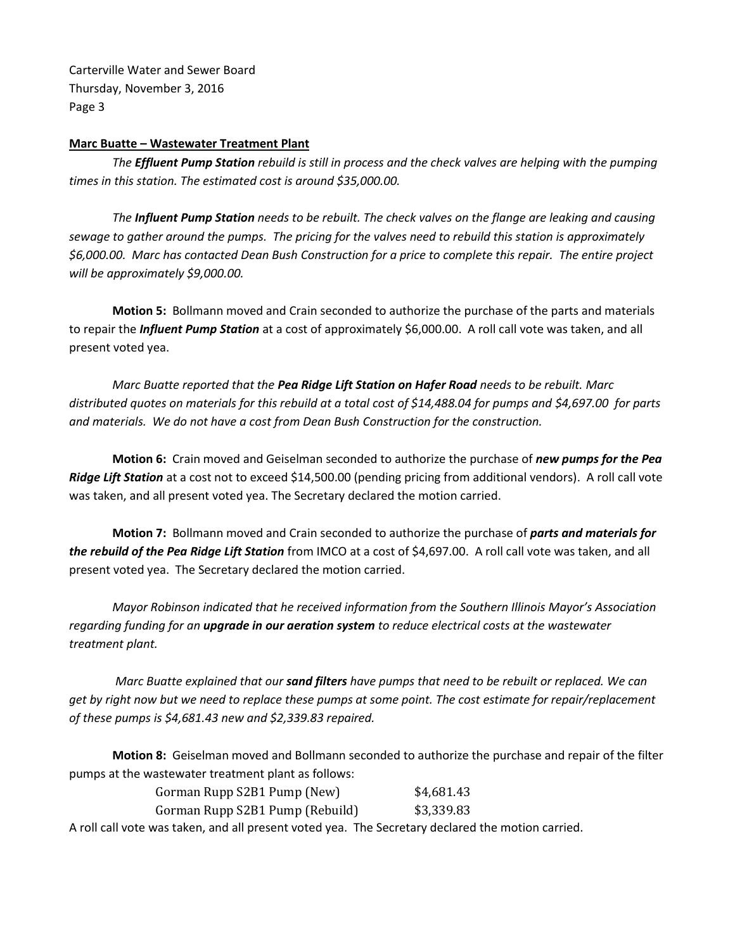## **Marc Buatte – Wastewater Treatment Plant**

*The Effluent Pump Station rebuild is still in process and the check valves are helping with the pumping times in this station. The estimated cost is around \$35,000.00.*

*The Influent Pump Station needs to be rebuilt. The check valves on the flange are leaking and causing sewage to gather around the pumps. The pricing for the valves need to rebuild this station is approximately \$6,000.00. Marc has contacted Dean Bush Construction for a price to complete this repair. The entire project will be approximately \$9,000.00.*

**Motion 5:** Bollmann moved and Crain seconded to authorize the purchase of the parts and materials to repair the *Influent Pump Station* at a cost of approximately \$6,000.00. A roll call vote was taken, and all present voted yea.

*Marc Buatte reported that the Pea Ridge Lift Station on Hafer Road needs to be rebuilt. Marc distributed quotes on materials for this rebuild at a total cost of \$14,488.04 for pumps and \$4,697.00 for parts and materials. We do not have a cost from Dean Bush Construction for the construction.* 

**Motion 6:** Crain moved and Geiselman seconded to authorize the purchase of *new pumps for the Pea Ridge Lift Station* at a cost not to exceed \$14,500.00 (pending pricing from additional vendors). A roll call vote was taken, and all present voted yea. The Secretary declared the motion carried.

**Motion 7:** Bollmann moved and Crain seconded to authorize the purchase of *parts and materials for the rebuild of the Pea Ridge Lift Station* from IMCO at a cost of \$4,697.00. A roll call vote was taken, and all present voted yea. The Secretary declared the motion carried.

*Mayor Robinson indicated that he received information from the Southern Illinois Mayor's Association regarding funding for an upgrade in our aeration system to reduce electrical costs at the wastewater treatment plant.*

*Marc Buatte explained that our sand filters have pumps that need to be rebuilt or replaced. We can get by right now but we need to replace these pumps at some point. The cost estimate for repair/replacement of these pumps is \$4,681.43 new and \$2,339.83 repaired.*

**Motion 8:** Geiselman moved and Bollmann seconded to authorize the purchase and repair of the filter pumps at the wastewater treatment plant as follows:

| Gorman Rupp S2B1 Pump (New)                                                                | \$4,681.43 |
|--------------------------------------------------------------------------------------------|------------|
| Gorman Rupp S2B1 Pump (Rebuild)                                                            | \$3,339.83 |
| رمواط اموروامه والمسور ومقصوم كموالى ومرز امواجب والمتوعون والمتام ومستعمل ومزرر والمعالمس |            |

A roll call vote was taken, and all present voted yea. The Secretary declared the motion carried.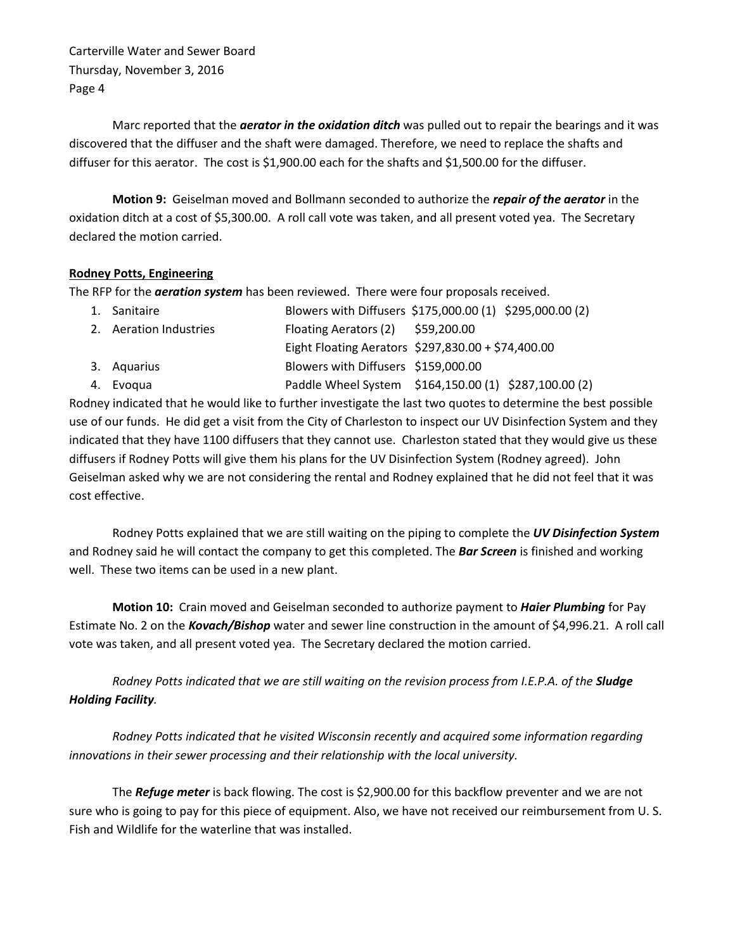Marc reported that the *aerator in the oxidation ditch* was pulled out to repair the bearings and it was discovered that the diffuser and the shaft were damaged. Therefore, we need to replace the shafts and diffuser for this aerator. The cost is \$1,900.00 each for the shafts and \$1,500.00 for the diffuser.

**Motion 9:** Geiselman moved and Bollmann seconded to authorize the *repair of the aerator* in the oxidation ditch at a cost of \$5,300.00. A roll call vote was taken, and all present voted yea. The Secretary declared the motion carried.

## **Rodney Potts, Engineering**

The RFP for the *aeration system* has been reviewed. There were four proposals received.

| 1. Sanitaire           |                                     | Blowers with Diffusers \$175,000.00 (1) \$295,000.00 (2) |
|------------------------|-------------------------------------|----------------------------------------------------------|
| 2. Aeration Industries | Floating Aerators $(2)$ \$59,200.00 |                                                          |
|                        |                                     | Eight Floating Aerators \$297,830.00 + \$74,400.00       |
| 3. Aquarius            | Blowers with Diffusers \$159,000.00 |                                                          |
| 4. Evoqua              |                                     | Paddle Wheel System \$164,150.00 (1) \$287,100.00 (2)    |

Rodney indicated that he would like to further investigate the last two quotes to determine the best possible use of our funds. He did get a visit from the City of Charleston to inspect our UV Disinfection System and they indicated that they have 1100 diffusers that they cannot use. Charleston stated that they would give us these diffusers if Rodney Potts will give them his plans for the UV Disinfection System (Rodney agreed). John Geiselman asked why we are not considering the rental and Rodney explained that he did not feel that it was cost effective.

Rodney Potts explained that we are still waiting on the piping to complete the *UV Disinfection System* and Rodney said he will contact the company to get this completed. The *Bar Screen* is finished and working well. These two items can be used in a new plant.

**Motion 10:** Crain moved and Geiselman seconded to authorize payment to *Haier Plumbing* for Pay Estimate No. 2 on the *Kovach/Bishop* water and sewer line construction in the amount of \$4,996.21. A roll call vote was taken, and all present voted yea. The Secretary declared the motion carried.

*Rodney Potts indicated that we are still waiting on the revision process from I.E.P.A. of the Sludge Holding Facility.*

*Rodney Potts indicated that he visited Wisconsin recently and acquired some information regarding innovations in their sewer processing and their relationship with the local university.* 

The *Refuge meter* is back flowing. The cost is \$2,900.00 for this backflow preventer and we are not sure who is going to pay for this piece of equipment. Also, we have not received our reimbursement from U. S. Fish and Wildlife for the waterline that was installed.